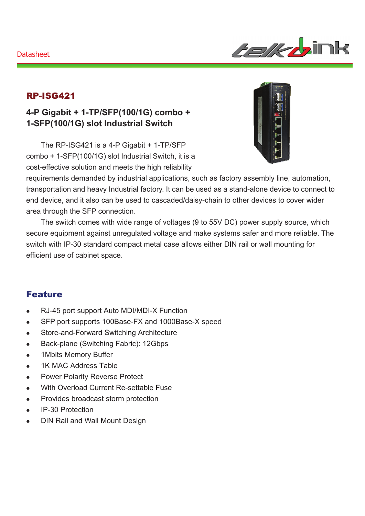#### **Datasheet**



### RP-ISG421

## **4-P Gigabit + 1-TP/SFP(100/1G) combo + 1-SFP(100/1G) slot Industrial Switch**

The RP-ISG421 is a 4-P Gigabit + 1-TP/SFP combo + 1-SFP(100/1G) slot Industrial Switch, it is a cost-effective solution and meets the high reliability



requirements demanded by industrial applications, such as factory assembly line, automation, transportation and heavy Industrial factory. It can be used as a stand-alone device to connect to end device, and it also can be used to cascaded/daisy-chain to other devices to cover wider area through the SFP connection.

The switch comes with wide range of voltages (9 to 55V DC) power supply source, which secure equipment against unregulated voltage and make systems safer and more reliable. The switch with IP-30 standard compact metal case allows either DIN rail or wall mounting for efficient use of cabinet space.

#### Feature

- RJ-45 port support Auto MDI/MDI-X Function
- SFP port supports 100Base-FX and 1000Base-X speed
- Store-and-Forward Switching Architecture
- Back-plane (Switching Fabric): 12Gbps
- 1Mbits Memory Buffer
- 1K MAC Address Table
- Power Polarity Reverse Protect
- With Overload Current Re-settable Fuse
- Provides broadcast storm protection
- IP-30 Protection
- DIN Rail and Wall Mount Design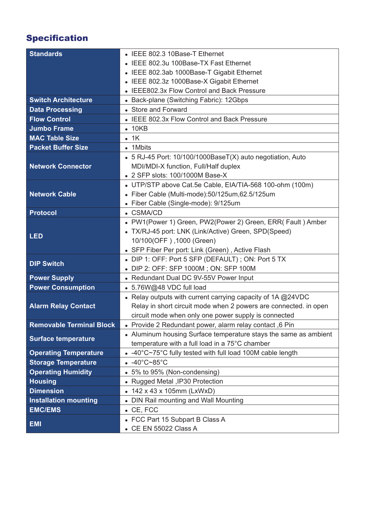# Specification

| <b>Standards</b>                | • IEEE 802.3 10Base-T Ethernet                                   |
|---------------------------------|------------------------------------------------------------------|
|                                 | IEEE 802.3u 100Base-TX Fast Ethernet                             |
|                                 | • IEEE 802.3ab 1000Base-T Gigabit Ethernet                       |
|                                 | IEEE 802.3z 1000Base-X Gigabit Ethernet                          |
|                                 | • IEEE802.3x Flow Control and Back Pressure                      |
| <b>Switch Architecture</b>      | • Back-plane (Switching Fabric): 12Gbps                          |
| <b>Data Processing</b>          | • Store and Forward                                              |
| <b>Flow Control</b>             | • IEEE 802.3x Flow Control and Back Pressure                     |
| <b>Jumbo Frame</b>              | $\bullet$ 10KB                                                   |
| <b>MAC Table Size</b>           | $\bullet$ 1K                                                     |
| <b>Packet Buffer Size</b>       | • 1Mbits                                                         |
|                                 | • 5 RJ-45 Port: 10/100/1000BaseT(X) auto negotiation, Auto       |
| <b>Network Connector</b>        | MDI/MDI-X function, Full/Half duplex                             |
|                                 | • 2 SFP slots: 100/1000M Base-X                                  |
|                                 | • UTP/STP above Cat.5e Cable, EIA/TIA-568 100-ohm (100m)         |
| <b>Network Cable</b>            | · Fiber Cable (Multi-mode):50/125um,62.5/125um                   |
|                                 | • Fiber Cable (Single-mode): 9/125um                             |
| <b>Protocol</b>                 | • CSMA/CD                                                        |
| <b>LED</b>                      | • PW1(Power 1) Green, PW2(Power 2) Green, ERR( Fault ) Amber     |
|                                 | • TX/RJ-45 port: LNK (Link/Active) Green, SPD(Speed)             |
|                                 | 10/100(OFF), 1000 (Green)                                        |
|                                 | • SFP Fiber Per port: Link (Green), Active Flash                 |
| <b>DIP Switch</b>               | • DIP 1: OFF: Port 5 SFP (DEFAULT); ON: Port 5 TX                |
|                                 | DIP 2: OFF: SFP 1000M; ON: SFP 100M                              |
| <b>Power Supply</b>             | • Redundant Dual DC 9V-55V Power Input                           |
| <b>Power Consumption</b>        | • 5.76W@48 VDC full load                                         |
|                                 | • Relay outputs with current carrying capacity of 1A @24VDC      |
| <b>Alarm Relay Contact</b>      | Relay in short circuit mode when 2 powers are connected. in open |
|                                 | circuit mode when only one power supply is connected             |
| <b>Removable Terminal Block</b> | • Provide 2 Redundant power, alarm relay contact, 6 Pin          |
| <b>Surface temperature</b>      | • Aluminum housing Surface temperature stays the same as ambient |
|                                 | temperature with a full load in a 75°C chamber                   |
| <b>Operating Temperature</b>    | • -40°C~75°C fully tested with full load 100M cable length       |
| <b>Storage Temperature</b>      | $-40^{\circ}$ C~85 $^{\circ}$ C                                  |
| <b>Operating Humidity</b>       | • 5% to 95% (Non-condensing)                                     |
| <b>Housing</b>                  | • Rugged Metal , IP30 Protection                                 |
| <b>Dimension</b>                | • 142 x 43 x 105mm (LxWxD)                                       |
| <b>Installation mounting</b>    | • DIN Rail mounting and Wall Mounting                            |
| <b>EMC/EMS</b>                  | $\bullet$ CE, FCC                                                |
| <b>EMI</b>                      | • FCC Part 15 Subpart B Class A                                  |
|                                 | • CE EN 55022 Class A                                            |